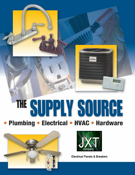# THE SUPPLY SOURCE







Electrical Panels & Breakers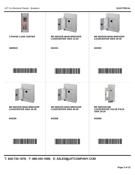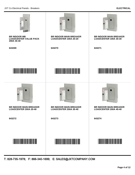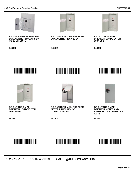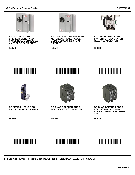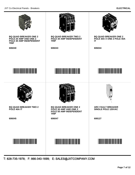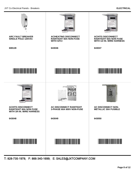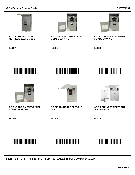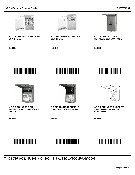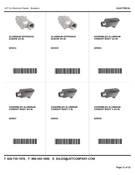